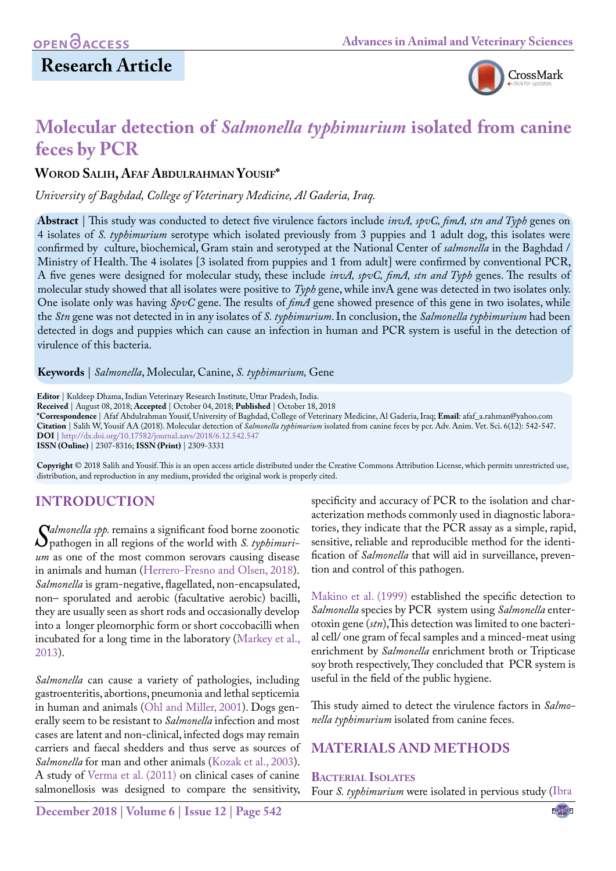# **Research Article**



# **Molecular detection of** *Salmonella typhimurium* **isolated from canine feces by PCR**

#### **Worod Salih, Afaf Abdulrahman Yousif\***

*University of Baghdad, College of Veterinary Medicine, Al Gaderia, Iraq.*

**Abstract** | This study was conducted to detect five virulence factors include *invA, spvC, fimA, stn and Typh* genes on 4 isolates of *S. typhimurium* serotype which isolated previously from 3 puppies and 1 adult dog, this isolates were confirmed by culture, biochemical, Gram stain and serotyped at the National Center of *salmonella* in the Baghdad / Ministry of Health. The 4 isolates [3 isolated from puppies and 1 from adult] were confirmed by conventional PCR, A five genes were designed for molecular study, these include *invA, spvC, fimA, stn and Typh* genes. The results of molecular study showed that all isolates were positive to *Typh* gene, while invA gene was detected in two isolates only. One isolate only was having *SpvC* gene. The results of *fimA* gene showed presence of this gene in two isolates, while the *Stn* gene was not detected in in any isolates of *S. typhimurium*. In conclusion, the *Salmonella typhimurium* had been detected in dogs and puppies which can cause an infection in human and PCR system is useful in the detection of virulence of this bacteria.

**Keywords** | *Salmonella*, Molecular, Canine, *S. typhimurium,* Gene

**Editor** | Kuldeep Dhama, Indian Veterinary Research Institute, Uttar Pradesh, India. **Received** | August 08, 2018; **Accepted** | October 04, 2018; **Published** | October 18, 2018 **\*Correspondence** | Afaf Abdulrahman Yousif, University of Baghdad, College of Veterinary Medicine, Al Gaderia, Iraq; **Email**: afaf\_a.rahman@yahoo.com **Citation** | Salih W, Yousif AA (2018). Molecular detection of *Salmonella typhimurium* isolated from canine feces by pcr. Adv. Anim. Vet. Sci. 6(12): 542-547. **DOI** | [http://dx.doi.org/10.17582/journal.aavs/2018/6.1](http://dx.doi.org/10.17582/journal.aavs/2018/6.12.542.547)2.542.547 **ISSN (Online)** | 2307-8316; **ISSN (Print)** | 2309-3331

**Copyright** © 2018 Salih and Yousif. This is an open access article distributed under the Creative Commons Attribution License, which permits unrestricted use, distribution, and reproduction in any medium, provided the original work is properly cited.

### **Introduction**

*Salmonella spp.* remains a significant food borne zoonotic<br>*P* pathogen in all regions of the world with *S. typhimuri-*<br>*um* as one of the most common serovars causing disease pathogen in all regions of the world with *S. typhimurium* as one of the most common serovars causing disease in animals and human ([Herrero-Fresno and Olsen, 2018](#page-4-0)). *Salmonella* is gram-negative, flagellated, non-encapsulated, non– sporulated and aerobic (facultative aerobic) bacilli, they are usually seen as short rods and occasionally develop into a longer pleomorphic form or short coccobacilli when incubated for a long time in the laboratory ([Markey et al.,](#page-4-1)  [2013](#page-4-1)).

*Salmonella* can cause a variety of pathologies, including gastroenteritis, abortions, pneumonia and lethal septicemia in human and animals ([Ohl and Miller, 2001\)](#page-4-2). Dogs generally seem to be resistant to *Salmonella* infection and most cases are latent and non-clinical, infected dogs may remain carriers and faecal shedders and thus serve as sources of *Salmonella* for man and other animals ([Kozak et al., 2003\)](#page-4-3). A study of [Verma et al. \(2011\) o](#page-5-0)n clinical cases of canine salmonellosis was designed to compare the sensitivity,

specificity and accuracy of PCR to the isolation and characterization methods commonly used in diagnostic laboratories, they indicate that the PCR assay as a simple, rapid, sensitive, reliable and reproducible method for the identification of *Salmonella* that will aid in surveillance, prevention and control of this pathogen.

[Makino et al. \(1999\)](#page-4-4) established the specific detection to *Salmonella* species by PCR system using *Salmonella* enterotoxin gene (*stn*),This detection was limited to one bacterial cell/ one gram of fecal samples and a minced-meat using enrichment by *Salmonella* enrichment broth or Tripticase soy broth respectively, They concluded that PCR system is useful in the field of the public hygiene.

This study aimed to detect the virulence factors in *Salmonella typhimurium* isolated from canine feces.

### **Materials and Methods**

#### **Bacterial Isolates**

Four *S. typhimurium* were isolated in pervious study [\(Ibra](#page-4-5)

**December 2018 | Volume 6 | Issue 12 | Page 542**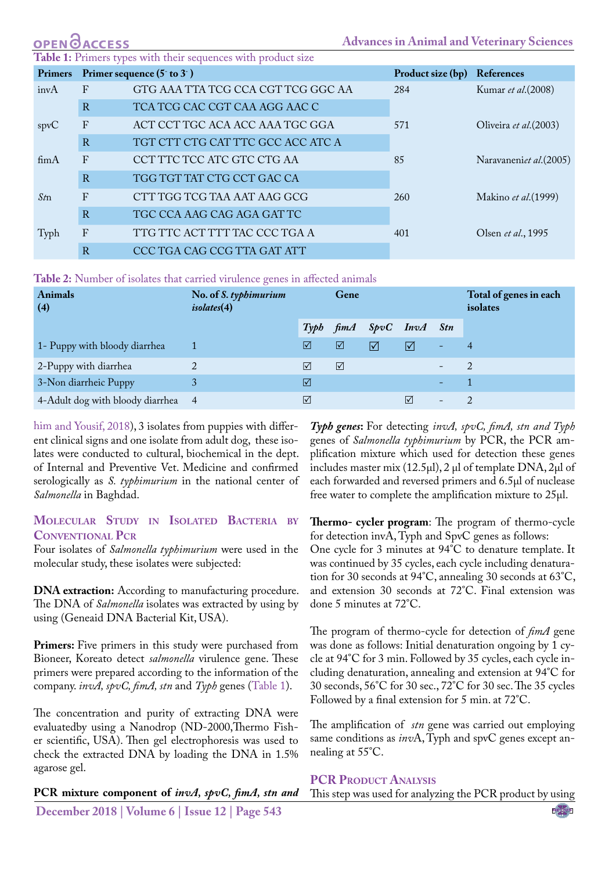<span id="page-1-0"></span>

|               | <b>OPEN</b> OACCESS |                                                               | <b>Advances in Animal and Veterinary Sciences</b> |                   |                         |  |  |
|---------------|---------------------|---------------------------------------------------------------|---------------------------------------------------|-------------------|-------------------------|--|--|
|               |                     | Table 1: Primers types with their sequences with product size |                                                   |                   |                         |  |  |
|               |                     | Primers Primer sequence $(5 \text{ to } 3)$                   |                                                   | Product size (bp) | References              |  |  |
| invA          | $\mathbf{F}$        | GTG AAA TTA TCG CCA CGT TCG GGC AA                            |                                                   | 284               | Kumar et al. (2008)     |  |  |
|               | $\overline{R}$      | TCA TCG CAC CGT CAA AGG AAC C                                 |                                                   |                   |                         |  |  |
| spvC          | F                   | ACT CCT TGC ACA ACC AAA TGC GGA                               |                                                   | 571               | Oliveira et al. (2003)  |  |  |
|               | R                   | TGT CTT CTG CAT TTC GCC ACC ATC A                             |                                                   |                   |                         |  |  |
| $f_{\rm im}A$ | $\mathbf{F}$        | CCT TTC TCC ATC GTC CTG AA                                    |                                                   | 85                | Naravaneniet al. (2005) |  |  |
|               | $\mathbb{R}$        | TGG TGT TAT CTG CCT GAC CA                                    |                                                   |                   |                         |  |  |
| $S_t$ m       | $\mathbf{F}$        | CTT TGG TCG TAA AAT AAG GCG                                   |                                                   | 260               | Makino et al. (1999)    |  |  |
|               | $\mathbf R$         | TGC CCA AAG CAG AGA GAT TC                                    |                                                   |                   |                         |  |  |
| Typh          | $\mathbf{F}$        | TTG TTC ACT TTT TAC CCC TGA A                                 |                                                   | 401               | Olsen et al., 1995      |  |  |
|               |                     |                                                               |                                                   |                   |                         |  |  |

<span id="page-1-1"></span>**Table 2:** Number of isolates that carried virulence genes in affected animals

R CCC TGA CAG CCG TTA GAT ATT

| <b>Animals</b><br>(4)              | No. of <i>S. typhimurium</i><br>isolates(4) | Gene |                 |                         |            | Total of genes in each<br>isolates |   |
|------------------------------------|---------------------------------------------|------|-----------------|-------------------------|------------|------------------------------------|---|
|                                    |                                             |      |                 | Typh fimA SpvC InvA Stn |            |                                    |   |
| 1- Puppy with bloody diarrhea      |                                             | ☑    | ☑               | ⊠                       | ⊠          | -                                  |   |
| 2-Puppy with diarrhea              |                                             | ⊠    | $\triangledown$ |                         |            | $\overline{\phantom{a}}$           | 2 |
| 3-Non diarrheic Puppy              |                                             | ☑    |                 |                         |            | $\equiv$                           |   |
| 4-Adult dog with bloody diarrhea 4 |                                             | ☑    |                 |                         | $\sqrt{ }$ | $\overline{\phantom{a}}$           |   |

[him and Yousif, 2018\)](#page-4-5), 3 isolates from puppies with different clinical signs and one isolate from adult dog, these isolates were conducted to cultural, biochemical in the dept. of Internal and Preventive Vet. Medicine and confirmed serologically as *S. typhimurium* in the national center of *Salmonella* in Baghdad.

#### **Molecular Study in Isolated Bacteria by Conventional Pcr**

Four isolates of *Salmonella typhimurium* were used in the molecular study, these isolates were subjected:

**DNA extraction:** According to manufacturing procedure. The DNA of *Salmonella* isolates was extracted by using by using (Geneaid DNA Bacterial Kit, USA).

Primers: Five primers in this study were purchased from Bioneer, Koreato detect *salmonella* virulence gene. These primers were prepared according to the information of the company. *invA, spvC, fimA, stn* and *Typh* genes [\(Table 1](#page-1-0)).

The concentration and purity of extracting DNA were evaluatedby using a Nanodrop (ND-2000,Thermo Fisher scientific, USA). Then gel electrophoresis was used to check the extracted DNA by loading the DNA in 1.5% agarose gel.

**December 2018 | Volume 6 | Issue 12 | Page 543 PCR mixture component of** *invA, spvC, fimA, stn and* 

*Typh genes***:** For detecting *invA, spvC, fimA, stn and Typh*  genes of *Salmonella typhimurium* by PCR, the PCR amplification mixture which used for detection these genes includes master mix (12.5μl), 2 μl of template DNA, 2μl of each forwarded and reversed primers and 6.5μl of nuclease free water to complete the amplification mixture to 25μl.

**Thermo- cycler program**: The program of thermo-cycle for detection invA, Typh and SpvC genes as follows: One cycle for 3 minutes at 94°C to denature template. It was continued by 35 cycles, each cycle including denaturation for 30 seconds at 94°C, annealing 30 seconds at 63°C, and extension 30 seconds at 72°C. Final extension was done 5 minutes at 72°C.

The program of thermo-cycle for detection of *fimA* gene was done as follows: Initial denaturation ongoing by 1 cycle at 94°C for 3 min. Followed by 35 cycles, each cycle including denaturation, annealing and extension at 94°C for 30 seconds, 56°C for 30 sec., 72°C for 30 sec. The 35 cycles Followed by a final extension for 5 min. at 72°C.

The amplification of *stn* gene was carried out employing same conditions as *inv*A, Typh and spvC genes except annealing at 55°C.

#### **PCR Product Analysis**

This step was used for analyzing the PCR product by using

NE**X**US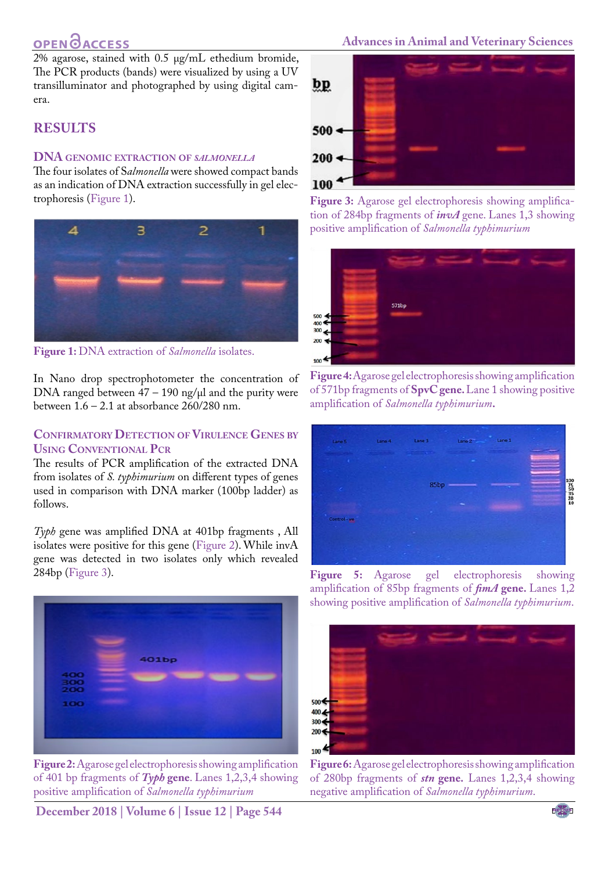## **OPEN**<sub>d</sub>

2% agarose, stained with 0.5 μg/mL ethedium bromide, The PCR products (bands) were visualized by using a UV transilluminator and photographed by using digital camera.

### **Results**

#### **DNA genomic extraction of** *salmonella*

The four isolates of S*almonella* were showed compact bands as an indication of DNA extraction successfully in gel electrophoresis [\(Figure 1\)](#page-2-0).



<span id="page-2-0"></span>**Figure 1:** DNA extraction of *Salmonella* isolates.

In Nano drop spectrophotometer the concentration of DNA ranged between  $47 - 190$  ng/ $\mu$ l and the purity were between  $1.6 - 2.1$  at absorbance  $260/280$  nm.

#### **Confirmatory Detection ofVirulence Genes by Using Conventional Pcr**

The results of PCR amplification of the extracted DNA from isolates of *S. typhimurium* on different types of genes used in comparison with DNA marker (100bp ladder) as follows.

*Typh* gene was amplified DNA at 401bp fragments , All isolates were positive for this gene ([Figure 2\)](#page-2-1). While invA gene was detected in two isolates only which revealed 284bp [\(Figure 3\)](#page-2-2).



**Figure 2:** Agarose gel electrophoresis showing amplification of 401 bp fragments of *Typh* **gene**. Lanes 1,2,3,4 showing positive amplification of *Salmonella typhimurium*

<span id="page-2-1"></span>**December 2018 | Volume 6 | Issue 12 | Page 544**

#### **Advances in Animal and Veterinary Sciences**



**Figure 3:** Agarose gel electrophoresis showing amplification of 284bp fragments of *invA* gene. Lanes 1,3 showing positive amplification of *Salmonella typhimurium*

<span id="page-2-2"></span>

**Figure 4:** Agarose gel electrophoresis showing amplification of 571bp fragments of **SpvC gene.** Lane 1 showing positive amplification of *Salmonella typhimurium***.**

<span id="page-2-3"></span>

<span id="page-2-4"></span>**Figure 5:** Agarose gel electrophoresis showing amplification of 85bp fragments of *fimA* **gene.** Lanes 1,2 showing positive amplification of *Salmonella typhimurium*.

<span id="page-2-5"></span>

**Figure 6:** Agarose gel electrophoresis showing amplification of 280bp fragments of *stn* **gene.** Lanes 1,2,3,4 showing negative amplification of *Salmonella typhimurium*.

NE**X**US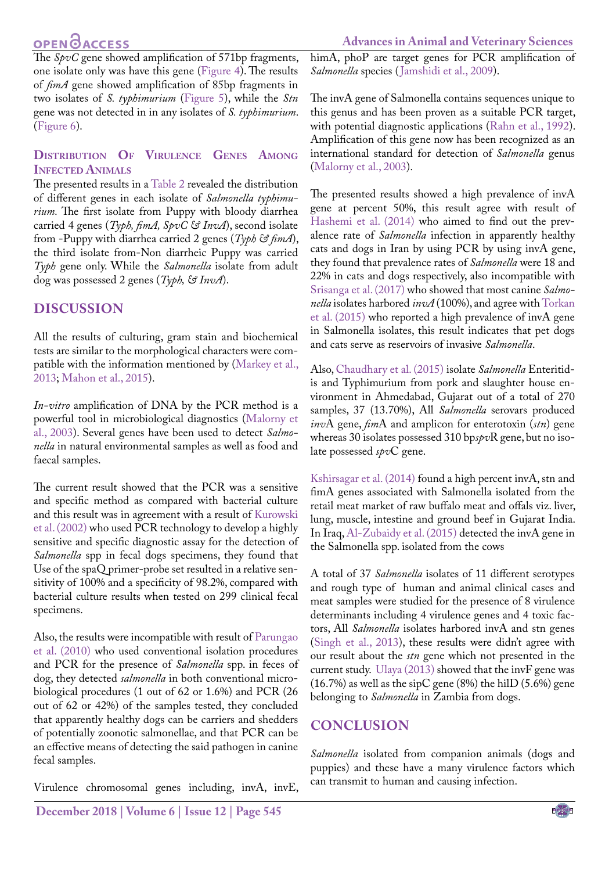### **OPEN GACCESS**

The *SpvC* gene showed amplification of 571bp fragments, one isolate only was have this gene [\(Figure 4\)](#page-2-3). The results of *fimA* gene showed amplification of 85bp fragments in two isolates of *S. typhimurium* ([Figure 5\)](#page-2-4), while the *Stn*  gene was not detected in in any isolates of *S. typhimurium*. [\(Figure 6](#page-2-5)).

#### **Distribution Of Virulence Genes Among Infected Animals**

The presented results in a [Table 2](#page-1-1) revealed the distribution of different genes in each isolate of *Salmonella typhimurium.* The first isolate from Puppy with bloody diarrhea carried 4 genes (*Typh, fimA, SpvC & InvA*), second isolate from -Puppy with diarrhea carried 2 genes (*Typh & fimA*), the third isolate from-Non diarrheic Puppy was carried *Typh* gene only. While the *Salmonella* isolate from adult dog was possessed 2 genes (*Typh, & InvA*).

### **Discussion**

All the results of culturing, gram stain and biochemical tests are similar to the morphological characters were compatible with the information mentioned by ([Markey et al.,](#page-4-1) [2013;](#page-4-1) [Mahon et al., 2015](#page-4-6)).

*In-vitro* amplification of DNA by the PCR method is a powerful tool in microbiological diagnostics ([Malorny et](#page-4-7) [al., 2003](#page-4-7)). Several genes have been used to detect *Salmonella* in natural environmental samples as well as food and faecal samples.

The current result showed that the PCR was a sensitive and specific method as compared with bacterial culture and this result was in agreement with a result of [Kurowski](#page-4-8) [et al. \(2002\)](#page-4-8) who used PCR technology to develop a highly sensitive and specific diagnostic assay for the detection of *Salmonella* spp in fecal dogs specimens, they found that Use of the spaQ primer-probe set resulted in a relative sensitivity of 100% and a specificity of 98.2%, compared with bacterial culture results when tested on 299 clinical fecal specimens.

Also, the results were incompatible with result of [Parungao](#page-4-9) [et al. \(2010\)](#page-4-9) who used conventional isolation procedures and PCR for the presence of *Salmonella* spp. in feces of dog, they detected *salmonella* in both conventional microbiological procedures (1 out of 62 or 1.6%) and PCR (26 out of 62 or 42%) of the samples tested, they concluded that apparently healthy dogs can be carriers and shedders of potentially zoonotic salmonellae, and that PCR can be an effective means of detecting the said pathogen in canine fecal samples.

Virulence chromosomal genes including, invA, invE,

himA, phoP are target genes for PCR amplification of *Salmonella* species ([Jamshidi et al., 2009\)](#page-4-10).

The invA gene of Salmonella contains sequences unique to this genus and has been proven as a suitable PCR target, with potential diagnostic applications ([Rahn et al., 1992](#page-4-11)). Amplification of this gene now has been recognized as an international standard for detection of *Salmonella* genus ([Malorny et al., 2003\)](#page-4-7).

The presented results showed a high prevalence of invA gene at percent 50%, this result agree with result of Hashemi et al. (2014) who aimed to find out the prevalence rate of *Salmonella* infection in apparently healthy cats and dogs in Iran by using PCR by using invA gene, they found that prevalence rates of *Salmonella* were 18 and 22% in cats and dogs respectively, also incompatible with [Srisanga et al. \(2017\)](#page-4-12) who showed that most canine *Salmonella* isolates harbored *invA* (100%), and agree with [Torkan](#page-4-13)  [et al. \(2015\)](#page-4-13) who reported a high prevalence of invA gene in Salmonella isolates, this result indicates that pet dogs and cats serve as reservoirs of invasive *Salmonella*.

Also, [Chaudhary et al. \(2015\)](#page-4-14) isolate *Salmonella* Enteritidis and Typhimurium from pork and slaughter house environment in Ahmedabad, Gujarat out of a total of 270 samples, 37 (13.70%), All *Salmonella* serovars produced *inv*A gene, *fim*A and amplicon for enterotoxin (*stn*) gene whereas 30 isolates possessed 310 bp*spv*R gene, but no isolate possessed *spv*C gene.

[Kshirsagar et al. \(2014\)](#page-4-15) found a high percent invA, stn and fimA genes associated with Salmonella isolated from the retail meat market of raw buffalo meat and offals viz. liver, lung, muscle, intestine and ground beef in Gujarat India. In Iraq, [Al-Zubaidy et al. \(2015\)](#page-4-16) detected the invA gene in the Salmonella spp. isolated from the cows

A total of 37 *Salmonella* isolates of 11 different serotypes and rough type of human and animal clinical cases and meat samples were studied for the presence of 8 virulence determinants including 4 virulence genes and 4 toxic factors, All *Salmonella* isolates harbored invA and stn genes ([Singh et al., 2013](#page-4-17)), these results were didn't agree with our result about the *stn* gene which not presented in the current study. [Ulaya \(2013\)](#page-4-18) showed that the invF gene was  $(16.7%)$  as well as the sipC gene (8%) the hilD (5.6%) gene belonging to *Salmonella* in Zambia from dogs.

### **Conclusion**

*Salmonella* isolated from companion animals (dogs and puppies) and these have a many virulence factors which can transmit to human and causing infection.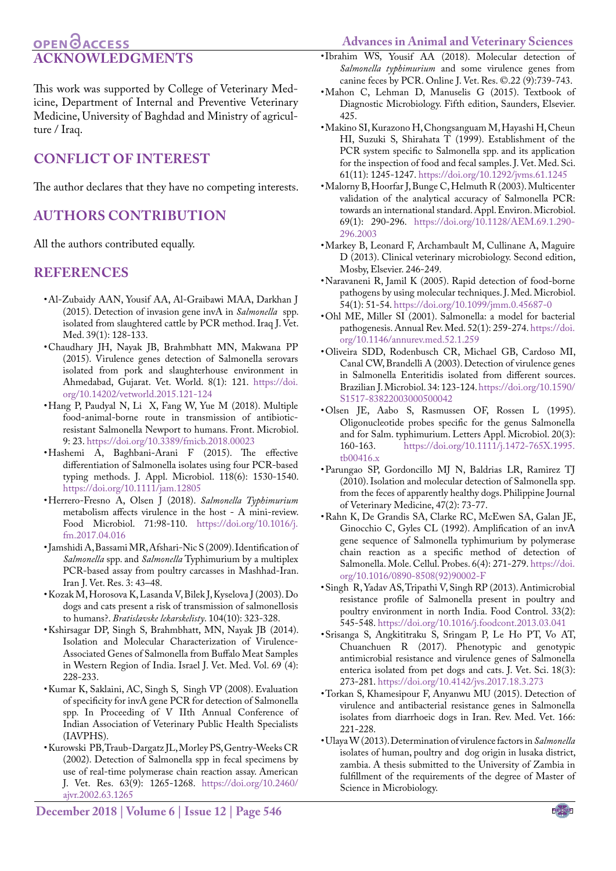#### <span id="page-4-5"></span>**Advances in Animal and Veterinary Sciences**

### **OPEN**OACCESS **ACKNOWLEDGMENTS**

This work was supported by College of Veterinary Medicine, Department of Internal and Preventive Veterinary Medicine, University of Baghdad and Ministry of agriculture / Iraq.

### **Conflict of interest**

The author declares that they have no competing interests.

### **Authors Contribution**

All the authors contributed equally.

#### **References**

- <span id="page-4-16"></span>• Al-Zubaidy AAN, Yousif AA, Al-Graibawi MAA, Darkhan J (2015). Detection of invasion gene invA in *Salmonella* spp. isolated from slaughtered cattle by PCR method. Iraq J. Vet. Med. 39(1): 128-133.
- <span id="page-4-14"></span>• Chaudhary JH, Nayak JB, Brahmbhatt MN, Makwana PP (2015). Virulence genes detection of Salmonella serovars isolated from pork and slaughterhouse environment in Ahmedabad, Gujarat. Vet. World. 8(1): 121. [https://doi.](https://doi.org/10.14202/vetworld.2015.121-124) [org/10.14202/vetworld.2015.121-124](https://doi.org/10.14202/vetworld.2015.121-124)
- • Hang P, Paudyal N, Li X, Fang W, Yue M (2018). Multiple food-animal-borne route in transmission of antibioticresistant Salmonella Newport to humans. Front. Microbiol. 9: 23. [https://doi.org/10.3389/fmicb.2018.00023](https://doi.org/10.3389/fmicb.2018.00023 )
- • Hashemi A, Baghbani‐Arani F (2015). The effective differentiation of Salmonella isolates using four PCR‐based typing methods. J. Appl. Microbiol. 118(6): 1530-1540. [https://doi.org/10.1111/jam.12805](https://doi.org/10.1111/jam.12805 )
- <span id="page-4-0"></span>• Herrero-Fresno A, Olsen J (2018). *Salmonella Typhimurium* metabolism affects virulence in the host - A mini-review. Food Microbiol. 71:98-110. [https://doi.org/10.1016/j.](https://doi.org/10.1016/j.fm.2017.04.016 ) [fm.2017.04.016](https://doi.org/10.1016/j.fm.2017.04.016 )
- <span id="page-4-10"></span>• Jamshidi A, Bassami MR, Afshari-Nic S (2009). Identification of *Salmonella* spp. and *Salmonella* Typhimurium by a multiplex PCR-based assay from poultry carcasses in Mashhad-Iran. Iran J. Vet. Res. 3: 43–48.
- <span id="page-4-3"></span>• Kozak M, Horosova K, Lasanda V, Bilek J, Kyselova J (2003). Do dogs and cats present a risk of transmission of salmonellosis to humans?. *Bratislavske lekarskelisty*. 104(10): 323-328.
- <span id="page-4-15"></span>• Kshirsagar DP, Singh S, Brahmbhatt, MN, Nayak JB (2014). Isolation and Molecular Characterization of Virulence-Associated Genes of Salmonella from Buffalo Meat Samples in Western Region of India. Israel J. Vet. Med. Vol. 69 (4): 228-233.
- • Kumar K, Saklaini, AC, Singh S, Singh VP (2008). Evaluation of specificity for invA gene PCR for detection of Salmonella spp. In Proceeding of V IIth Annual Conference of Indian Association of Veterinary Public Health Specialists (IAVPHS).
- <span id="page-4-8"></span>• Kurowski PB, Traub-Dargatz JL, Morley PS, Gentry-Weeks CR (2002). Detection of Salmonella spp in fecal specimens by use of real-time polymerase chain reaction assay. American J. Vet. Res. 63(9): 1265-1268. [https://doi.org/10.2460/](https://doi.org/10.2460/ajvr.2002.63.1265 ) [ajvr.2002.63.1265](https://doi.org/10.2460/ajvr.2002.63.1265 )
- • Ibrahim WS, Yousif AA (2018). Molecular detection of *Salmonella typhimurium* and some virulence genes from canine feces by PCR. Online J. Vet. Res. ©.22 (9):739-743.
- <span id="page-4-6"></span>• Mahon C, Lehman D, Manuselis G (2015). Textbook of Diagnostic Microbiology. Fifth edition, Saunders, Elsevier. 425.
- <span id="page-4-4"></span>• Makino SI, Kurazono H, Chongsanguam M, Hayashi H, Cheun HI, Suzuki S, Shirahata T (1999). Establishment of the PCR system specific to Salmonella spp. and its application for the inspection of food and fecal samples. J. Vet. Med. Sci. 61(11): 1245-1247[. https://doi.org/10.1292/jvms.61.1245]( https://doi.org/10.1292/jvms.61.1245 )
- <span id="page-4-7"></span>• Malorny B, Hoorfar J, Bunge C, Helmuth R (2003). Multicenter validation of the analytical accuracy of Salmonella PCR: towards an international standard. Appl. Environ. Microbiol. 69(1): 290-296. [https://doi.org/10.1128/AEM.69.1.290-](https://doi.org/10.1128/AEM.69.1.290-296.2003 ) [296.2003](https://doi.org/10.1128/AEM.69.1.290-296.2003 )
- <span id="page-4-1"></span>• Markey B, Leonard F, Archambault M, Cullinane A, Maguire D (2013). Clinical veterinary microbiology. Second edition, Mosby, Elsevier. 246-249.
- • Naravaneni R, Jamil K (2005). Rapid detection of food-borne pathogens by using molecular techniques. J. Med. Microbiol. 54(1): 51-54. <https://doi.org/10.1099/jmm.0.45687-0>
- <span id="page-4-2"></span>• Ohl ME, Miller SI (2001). Salmonella: a model for bacterial pathogenesis. Annual Rev. Med. 52(1): 259-274. [https://doi.](https://doi.org/10.1146/annurev.med.52.1.259 ) [org/10.1146/annurev.med.52.1.259](https://doi.org/10.1146/annurev.med.52.1.259 )
- • Oliveira SDD, Rodenbusch CR, Michael GB, Cardoso MI, Canal CW, Brandelli A (2003). Detection of virulence genes in Salmonella Enteritidis isolated from different sources. Brazilian J. Microbiol. 34: 123-124. [https://doi.org/10.1590/](https://doi.org/10.1590/S1517-83822003000500042 ) [S1517-83822003000500042](https://doi.org/10.1590/S1517-83822003000500042 )
- • Olsen JE, Aabo S, Rasmussen OF, Rossen L (1995). Oligonucleotide probes specific for the genus Salmonella and for Salm. typhimurium. Letters Appl. Microbiol. 20(3):<br>160-163. https://doi.org/10.1111/j.1472-765X.1995. [https://doi.org/10.1111/j.1472-765X.1995.](https://doi.org/10.1111/j.1472-765X.1995.tb00416.x ) [tb00416.x](https://doi.org/10.1111/j.1472-765X.1995.tb00416.x )
- <span id="page-4-9"></span>• Parungao SP, Gordoncillo MJ N, Baldrias LR, Ramirez TJ (2010). Isolation and molecular detection of Salmonella spp. from the feces of apparently healthy dogs. Philippine Journal of Veterinary Medicine, 47(2): 73-77.
- <span id="page-4-11"></span>• Rahn K, De Grandis SA, Clarke RC, McEwen SA, Galan JE, Ginocchio C, Gyles CL (1992). Amplification of an invA gene sequence of Salmonella typhimurium by polymerase chain reaction as a specific method of detection of Salmonella. Mole. Cellul. Probes. 6(4): 271-279. [https://doi.](https://doi.org/10.1016/0890-8508(92)90002-F ) [org/10.1016/0890-8508\(92\)90002-F](https://doi.org/10.1016/0890-8508(92)90002-F )
- <span id="page-4-17"></span>• Singh R, Yadav AS, Tripathi V, Singh RP (2013). Antimicrobial resistance profile of Salmonella present in poultry and poultry environment in north India. Food Control. 33(2): 545-548[. https://doi.org/10.1016/j.foodcont.2013.03.041]( https://doi.org/10.1016/j.foodcont.2013.03.041)
- <span id="page-4-12"></span>• Srisanga S, Angkititraku S, Sringam P, Le Ho PT, Vo AT, Chuanchuen R (2017). Phenotypic and genotypic antimicrobial resistance and virulence genes of Salmonella enterica isolated from pet dogs and cats. J. Vet. Sci. 18(3): 273-281[. https://doi.org/10.4142/jvs.2017.18.3.273]( https://doi.org/10.4142/jvs.2017.18.3.273 )
- <span id="page-4-13"></span>• Torkan S, Khamesipour F, Anyanwu MU (2015). Detection of virulence and antibacterial resistance genes in Salmonella isolates from diarrhoeic dogs in Iran. Rev. Med. Vet. 166: 221-228.
- <span id="page-4-18"></span>• Ulaya W (2013). Determination of virulence factors in *Salmonella* isolates of human, poultry and dog origin in lusaka district, zambia. A thesis submitted to the University of Zambia in fulfillment of the requirements of the degree of Master of Science in Microbiology.